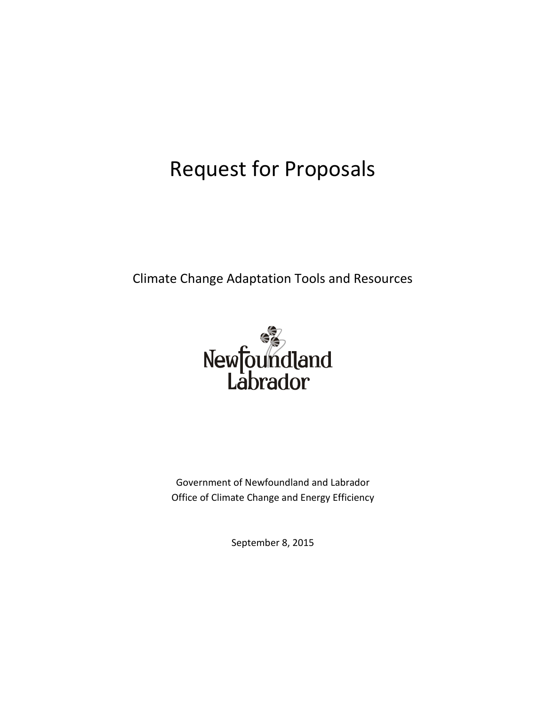# Request for Proposals

Climate Change Adaptation Tools and Resources



Government of Newfoundland and Labrador Office of Climate Change and Energy Efficiency

September 8, 2015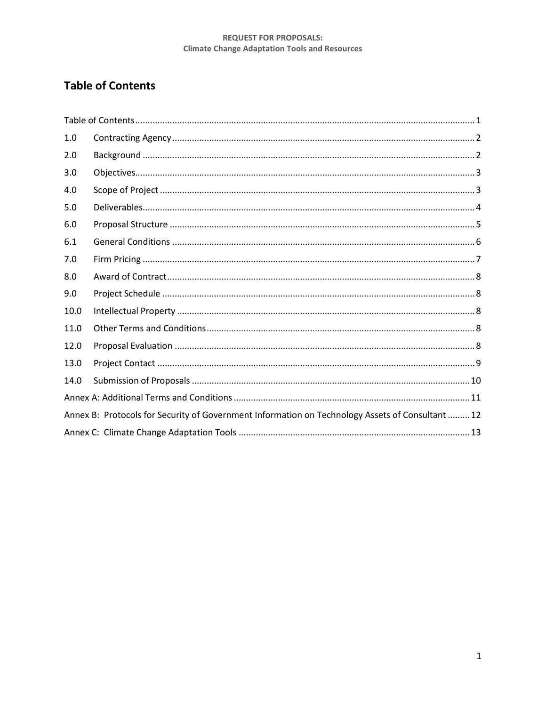# <span id="page-1-0"></span>**Table of Contents**

| 1.0                                                                                              |  |  |  |
|--------------------------------------------------------------------------------------------------|--|--|--|
| 2.0                                                                                              |  |  |  |
| 3.0                                                                                              |  |  |  |
| 4.0                                                                                              |  |  |  |
| 5.0                                                                                              |  |  |  |
| 6.0                                                                                              |  |  |  |
| 6.1                                                                                              |  |  |  |
| 7.0                                                                                              |  |  |  |
| 8.0                                                                                              |  |  |  |
| 9.0                                                                                              |  |  |  |
| 10.0                                                                                             |  |  |  |
| 11.0                                                                                             |  |  |  |
| 12.0                                                                                             |  |  |  |
| 13.0                                                                                             |  |  |  |
| 14.0                                                                                             |  |  |  |
|                                                                                                  |  |  |  |
| Annex B: Protocols for Security of Government Information on Technology Assets of Consultant  12 |  |  |  |
|                                                                                                  |  |  |  |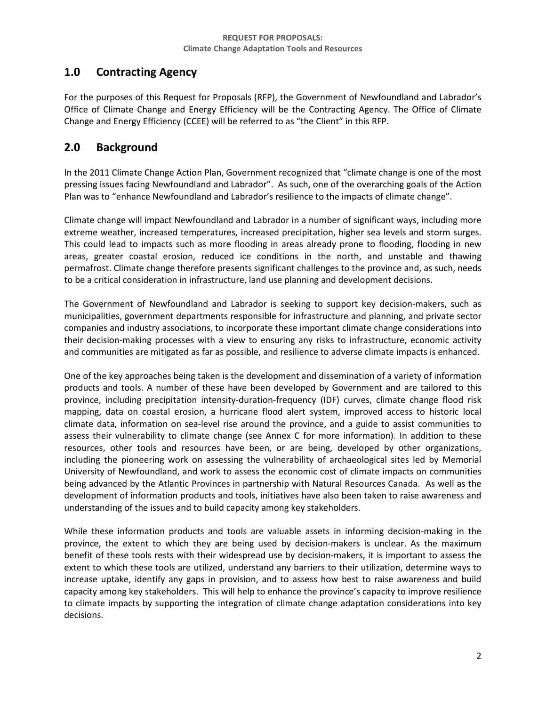# <span id="page-2-0"></span>**1.0 Contracting Agency**

For the purposes of this Request for Proposals (RFP), the Government of Newfoundland and Labrador's Office of Climate Change and Energy Efficiency will be the Contracting Agency. The Office of Climate Change and Energy Efficiency (CCEE) will be referred to as "the Client" in this RFP.

# <span id="page-2-1"></span>**2.0 Background**

In the 2011 Climate Change Action Plan, Government recognized that "climate change is one of the most pressing issues facing Newfoundland and Labrador". As such, one of the overarching goals of the Action Plan was to "enhance Newfoundland and Labrador's resilience to the impacts of climate change".

Climate change will impact Newfoundland and Labrador in a number of significant ways, including more extreme weather, increased temperatures, increased precipitation, higher sea levels and storm surges. This could lead to impacts such as more flooding in areas already prone to flooding, flooding in new areas, greater coastal erosion, reduced ice conditions in the north, and unstable and thawing permafrost. Climate change therefore presents significant challenges to the province and, as such, needs to be a critical consideration in infrastructure, land use planning and development decisions.

The Government of Newfoundland and Labrador is seeking to support key decision-makers, such as municipalities, government departments responsible for infrastructure and planning, and private sector companies and industry associations, to incorporate these important climate change considerations into their decision-making processes with a view to ensuring any risks to infrastructure, economic activity and communities are mitigated as far as possible, and resilience to adverse climate impacts is enhanced.

One of the key approaches being taken is the development and dissemination of a variety of information products and tools. A number of these have been developed by Government and are tailored to this province, including precipitation intensity-duration-frequency (IDF) curves, climate change flood risk mapping, data on coastal erosion, a hurricane flood alert system, improved access to historic local climate data, information on sea-level rise around the province, and a guide to assist communities to assess their vulnerability to climate change (see Annex C for more information). In addition to these resources, other tools and resources have been, or are being, developed by other organizations, including the pioneering work on assessing the vulnerability of archaeological sites led by Memorial University of Newfoundland, and work to assess the economic cost of climate impacts on communities being advanced by the Atlantic Provinces in partnership with Natural Resources Canada. As well as the development of information products and tools, initiatives have also been taken to raise awareness and understanding of the issues and to build capacity among key stakeholders.

While these information products and tools are valuable assets in informing decision-making in the province, the extent to which they are being used by decision-makers is unclear. As the maximum benefit of these tools rests with their widespread use by decision-makers, it is important to assess the extent to which these tools are utilized, understand any barriers to their utilization, determine ways to increase uptake, identify any gaps in provision, and to assess how best to raise awareness and build capacity among key stakeholders. This will help to enhance the province's capacity to improve resilience to climate impacts by supporting the integration of climate change adaptation considerations into key decisions.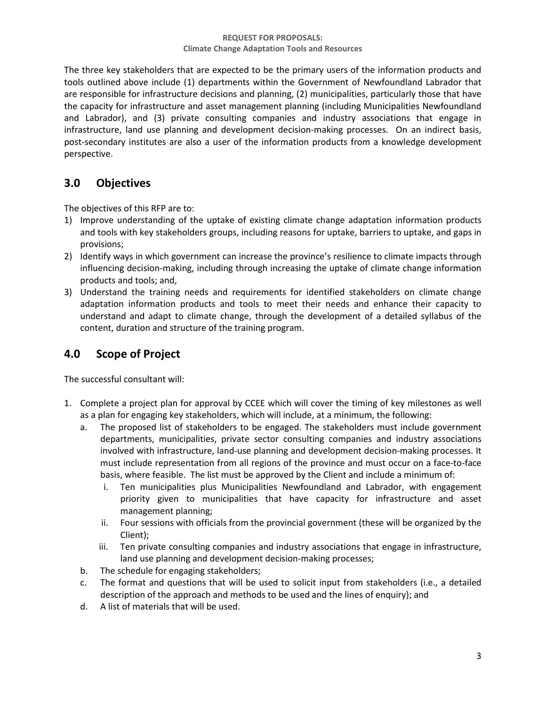The three key stakeholders that are expected to be the primary users of the information products and tools outlined above include (1) departments within the Government of Newfoundland Labrador that are responsible for infrastructure decisions and planning, (2) municipalities, particularly those that have the capacity for infrastructure and asset management planning (including Municipalities Newfoundland and Labrador), and (3) private consulting companies and industry associations that engage in infrastructure, land use planning and development decision-making processes. On an indirect basis, post-secondary institutes are also a user of the information products from a knowledge development perspective.

# <span id="page-3-0"></span>**3.0 Objectives**

The objectives of this RFP are to:

- 1) Improve understanding of the uptake of existing climate change adaptation information products and tools with key stakeholders groups, including reasons for uptake, barriers to uptake, and gaps in provisions;
- 2) Identify ways in which government can increase the province's resilience to climate impacts through influencing decision-making, including through increasing the uptake of climate change information products and tools; and,
- 3) Understand the training needs and requirements for identified stakeholders on climate change adaptation information products and tools to meet their needs and enhance their capacity to understand and adapt to climate change, through the development of a detailed syllabus of the content, duration and structure of the training program.

# <span id="page-3-1"></span>**4.0 Scope of Project**

The successful consultant will:

- 1. Complete a project plan for approval by CCEE which will cover the timing of key milestones as well as a plan for engaging key stakeholders, which will include, at a minimum, the following:
	- a. The proposed list of stakeholders to be engaged. The stakeholders must include government departments, municipalities, private sector consulting companies and industry associations involved with infrastructure, land-use planning and development decision-making processes. It must include representation from all regions of the province and must occur on a face-to-face basis, where feasible. The list must be approved by the Client and include a minimum of:
		- i. Ten municipalities plus Municipalities Newfoundland and Labrador, with engagement priority given to municipalities that have capacity for infrastructure and asset management planning;
		- ii. Four sessions with officials from the provincial government (these will be organized by the Client);
		- iii. Ten private consulting companies and industry associations that engage in infrastructure, land use planning and development decision-making processes;
	- b. The schedule for engaging stakeholders;
	- c. The format and questions that will be used to solicit input from stakeholders (i.e., a detailed description of the approach and methods to be used and the lines of enquiry); and
	- d. A list of materials that will be used.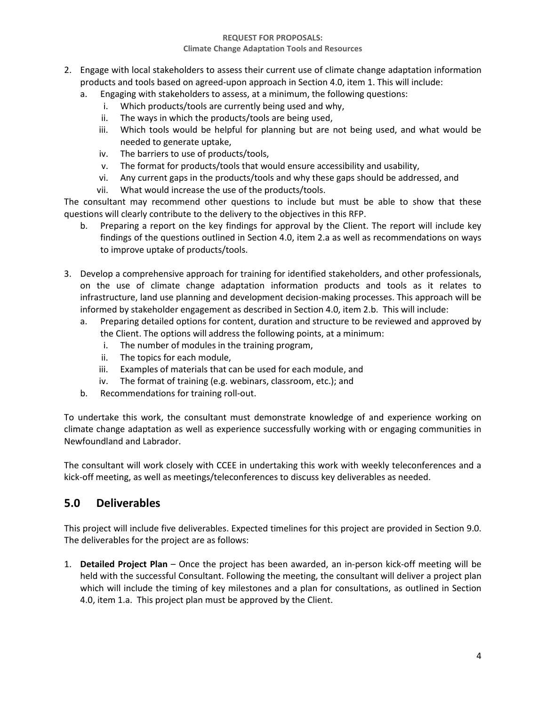### **REQUEST FOR PROPOSALS:**

### **Climate Change Adaptation Tools and Resources**

- 2. Engage with local stakeholders to assess their current use of climate change adaptation information products and tools based on agreed-upon approach in Section 4.0, item 1. This will include:
	- a. Engaging with stakeholders to assess, at a minimum, the following questions:
		- i. Which products/tools are currently being used and why,
		- ii. The ways in which the products/tools are being used,
		- iii. Which tools would be helpful for planning but are not being used, and what would be needed to generate uptake,
		- iv. The barriers to use of products/tools,
		- v. The format for products/tools that would ensure accessibility and usability,
		- vi. Any current gaps in the products/tools and why these gaps should be addressed, and
		- vii. What would increase the use of the products/tools.

The consultant may recommend other questions to include but must be able to show that these questions will clearly contribute to the delivery to the objectives in this RFP.

- b. Preparing a report on the key findings for approval by the Client. The report will include key findings of the questions outlined in Section 4.0, item 2.a as well as recommendations on ways to improve uptake of products/tools.
- 3. Develop a comprehensive approach for training for identified stakeholders, and other professionals, on the use of climate change adaptation information products and tools as it relates to infrastructure, land use planning and development decision-making processes. This approach will be informed by stakeholder engagement as described in Section 4.0, item 2.b. This will include:
	- a. Preparing detailed options for content, duration and structure to be reviewed and approved by the Client. The options will address the following points, at a minimum:
		- i. The number of modules in the training program,
		- ii. The topics for each module,
		- iii. Examples of materials that can be used for each module, and
		- iv. The format of training (e.g. webinars, classroom, etc.); and
	- b. Recommendations for training roll-out.

To undertake this work, the consultant must demonstrate knowledge of and experience working on climate change adaptation as well as experience successfully working with or engaging communities in Newfoundland and Labrador.

The consultant will work closely with CCEE in undertaking this work with weekly teleconferences and a kick-off meeting, as well as meetings/teleconferences to discuss key deliverables as needed.

# <span id="page-4-0"></span>**5.0 Deliverables**

This project will include five deliverables. Expected timelines for this project are provided in Section 9.0. The deliverables for the project are as follows:

1. **Detailed Project Plan** – Once the project has been awarded, an in-person kick-off meeting will be held with the successful Consultant. Following the meeting, the consultant will deliver a project plan which will include the timing of key milestones and a plan for consultations, as outlined in Section 4.0, item 1.a. This project plan must be approved by the Client.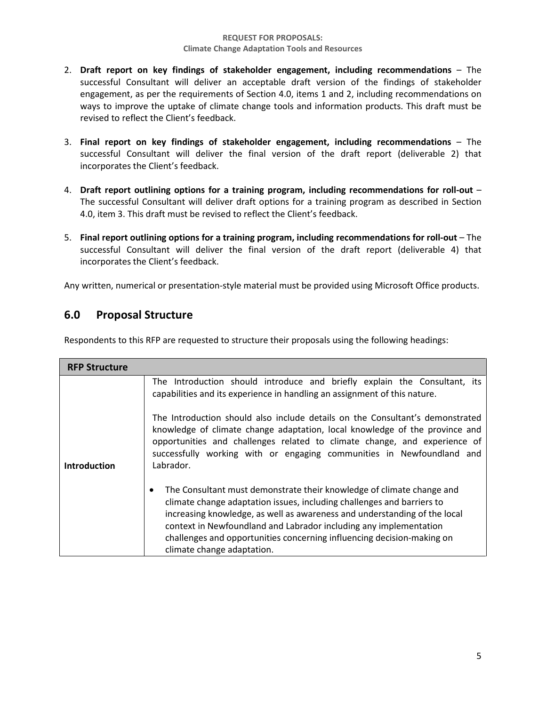- 2. **Draft report on key findings of stakeholder engagement, including recommendations**  The successful Consultant will deliver an acceptable draft version of the findings of stakeholder engagement, as per the requirements of Section 4.0, items 1 and 2, including recommendations on ways to improve the uptake of climate change tools and information products. This draft must be revised to reflect the Client's feedback.
- 3. **Final report on key findings of stakeholder engagement, including recommendations**  The successful Consultant will deliver the final version of the draft report (deliverable 2) that incorporates the Client's feedback.
- 4. **Draft report outlining options for a training program, including recommendations for roll-out**  The successful Consultant will deliver draft options for a training program as described in Section 4.0, item 3. This draft must be revised to reflect the Client's feedback.
- 5. **Final report outlining options for a training program, including recommendations for roll-out**  The successful Consultant will deliver the final version of the draft report (deliverable 4) that incorporates the Client's feedback.

Any written, numerical or presentation-style material must be provided using Microsoft Office products.

# <span id="page-5-0"></span>**6.0 Proposal Structure**

Respondents to this RFP are requested to structure their proposals using the following headings:

| The Introduction should introduce and briefly explain the Consultant, its<br>The Introduction should also include details on the Consultant's demonstrated<br>knowledge of climate change adaptation, local knowledge of the province and<br>opportunities and challenges related to climate change, and experience of<br>successfully working with or engaging communities in Newfoundland and |
|-------------------------------------------------------------------------------------------------------------------------------------------------------------------------------------------------------------------------------------------------------------------------------------------------------------------------------------------------------------------------------------------------|
|                                                                                                                                                                                                                                                                                                                                                                                                 |
|                                                                                                                                                                                                                                                                                                                                                                                                 |
|                                                                                                                                                                                                                                                                                                                                                                                                 |
| The Consultant must demonstrate their knowledge of climate change and<br>increasing knowledge, as well as awareness and understanding of the local                                                                                                                                                                                                                                              |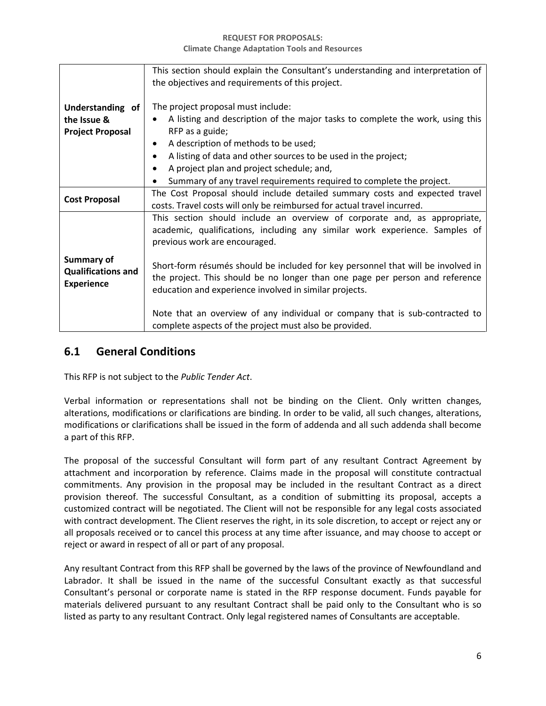|                                                                     | This section should explain the Consultant's understanding and interpretation of<br>the objectives and requirements of this project.                                                                                                                               |  |  |
|---------------------------------------------------------------------|--------------------------------------------------------------------------------------------------------------------------------------------------------------------------------------------------------------------------------------------------------------------|--|--|
| Understanding of<br>the Issue &<br><b>Project Proposal</b>          | The project proposal must include:<br>A listing and description of the major tasks to complete the work, using this<br>RFP as a guide;                                                                                                                             |  |  |
|                                                                     | A description of methods to be used;<br>$\bullet$<br>A listing of data and other sources to be used in the project;<br>$\bullet$<br>A project plan and project schedule; and,<br>$\bullet$<br>Summary of any travel requirements required to complete the project. |  |  |
| <b>Cost Proposal</b>                                                | The Cost Proposal should include detailed summary costs and expected travel<br>costs. Travel costs will only be reimbursed for actual travel incurred.                                                                                                             |  |  |
|                                                                     | This section should include an overview of corporate and, as appropriate,<br>academic, qualifications, including any similar work experience. Samples of<br>previous work are encouraged.                                                                          |  |  |
| <b>Summary of</b><br><b>Qualifications and</b><br><b>Experience</b> | Short-form résumés should be included for key personnel that will be involved in<br>the project. This should be no longer than one page per person and reference<br>education and experience involved in similar projects.                                         |  |  |
|                                                                     | Note that an overview of any individual or company that is sub-contracted to<br>complete aspects of the project must also be provided.                                                                                                                             |  |  |

### <span id="page-6-0"></span>**6.1 General Conditions**

This RFP is not subject to the *Public Tender Act*.

Verbal information or representations shall not be binding on the Client. Only written changes, alterations, modifications or clarifications are binding. In order to be valid, all such changes, alterations, modifications or clarifications shall be issued in the form of addenda and all such addenda shall become a part of this RFP.

The proposal of the successful Consultant will form part of any resultant Contract Agreement by attachment and incorporation by reference. Claims made in the proposal will constitute contractual commitments. Any provision in the proposal may be included in the resultant Contract as a direct provision thereof. The successful Consultant, as a condition of submitting its proposal, accepts a customized contract will be negotiated. The Client will not be responsible for any legal costs associated with contract development. The Client reserves the right, in its sole discretion, to accept or reject any or all proposals received or to cancel this process at any time after issuance, and may choose to accept or reject or award in respect of all or part of any proposal.

Any resultant Contract from this RFP shall be governed by the laws of the province of Newfoundland and Labrador. It shall be issued in the name of the successful Consultant exactly as that successful Consultant's personal or corporate name is stated in the RFP response document. Funds payable for materials delivered pursuant to any resultant Contract shall be paid only to the Consultant who is so listed as party to any resultant Contract. Only legal registered names of Consultants are acceptable.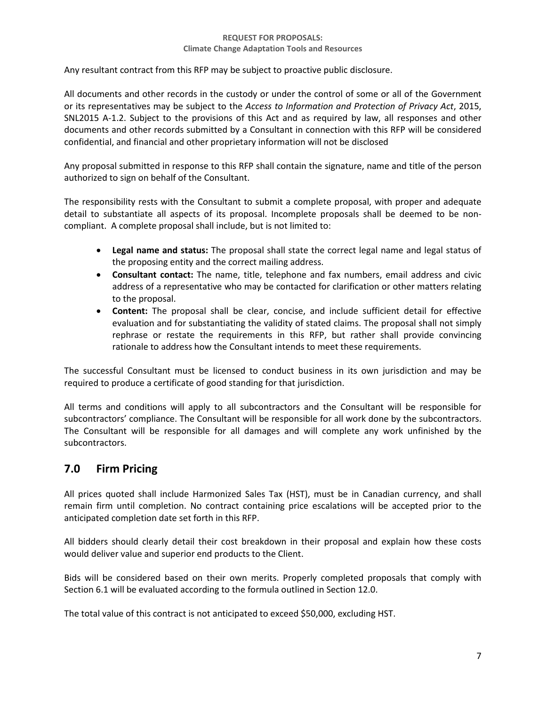Any resultant contract from this RFP may be subject to proactive public disclosure.

All documents and other records in the custody or under the control of some or all of the Government or its representatives may be subject to the *Access to Information and Protection of Privacy Act*, 2015, SNL2015 A-1.2. Subject to the provisions of this Act and as required by law, all responses and other documents and other records submitted by a Consultant in connection with this RFP will be considered confidential, and financial and other proprietary information will not be disclosed

Any proposal submitted in response to this RFP shall contain the signature, name and title of the person authorized to sign on behalf of the Consultant.

The responsibility rests with the Consultant to submit a complete proposal, with proper and adequate detail to substantiate all aspects of its proposal. Incomplete proposals shall be deemed to be noncompliant. A complete proposal shall include, but is not limited to:

- **Legal name and status:** The proposal shall state the correct legal name and legal status of the proposing entity and the correct mailing address.
- **Consultant contact:** The name, title, telephone and fax numbers, email address and civic address of a representative who may be contacted for clarification or other matters relating to the proposal.
- **Content:** The proposal shall be clear, concise, and include sufficient detail for effective evaluation and for substantiating the validity of stated claims. The proposal shall not simply rephrase or restate the requirements in this RFP, but rather shall provide convincing rationale to address how the Consultant intends to meet these requirements.

The successful Consultant must be licensed to conduct business in its own jurisdiction and may be required to produce a certificate of good standing for that jurisdiction.

All terms and conditions will apply to all subcontractors and the Consultant will be responsible for subcontractors' compliance. The Consultant will be responsible for all work done by the subcontractors. The Consultant will be responsible for all damages and will complete any work unfinished by the subcontractors.

# <span id="page-7-0"></span>**7.0 Firm Pricing**

All prices quoted shall include Harmonized Sales Tax (HST), must be in Canadian currency, and shall remain firm until completion. No contract containing price escalations will be accepted prior to the anticipated completion date set forth in this RFP.

All bidders should clearly detail their cost breakdown in their proposal and explain how these costs would deliver value and superior end products to the Client.

Bids will be considered based on their own merits. Properly completed proposals that comply with Section 6.1 will be evaluated according to the formula outlined in Section 12.0.

The total value of this contract is not anticipated to exceed \$50,000, excluding HST.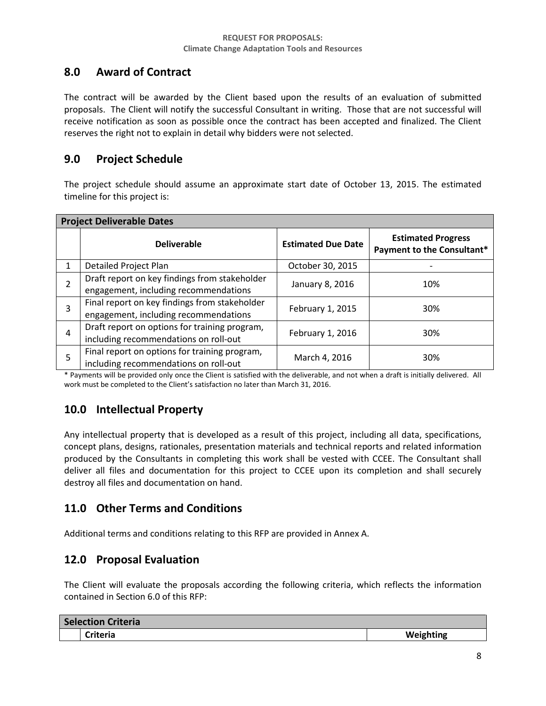# <span id="page-8-0"></span>**8.0 Award of Contract**

The contract will be awarded by the Client based upon the results of an evaluation of submitted proposals. The Client will notify the successful Consultant in writing. Those that are not successful will receive notification as soon as possible once the contract has been accepted and finalized. The Client reserves the right not to explain in detail why bidders were not selected.

### <span id="page-8-1"></span>**9.0 Project Schedule**

The project schedule should assume an approximate start date of October 13, 2015. The estimated timeline for this project is:

| <b>Project Deliverable Dates</b> |                                                                                        |                           |                                                         |  |
|----------------------------------|----------------------------------------------------------------------------------------|---------------------------|---------------------------------------------------------|--|
|                                  | <b>Deliverable</b>                                                                     | <b>Estimated Due Date</b> | <b>Estimated Progress</b><br>Payment to the Consultant* |  |
| $\mathbf{1}$                     | Detailed Project Plan                                                                  | October 30, 2015          |                                                         |  |
|                                  | Draft report on key findings from stakeholder<br>engagement, including recommendations | January 8, 2016           | 10%                                                     |  |
| 3                                | Final report on key findings from stakeholder<br>engagement, including recommendations | February 1, 2015          | 30%                                                     |  |
| 4                                | Draft report on options for training program,<br>including recommendations on roll-out | February 1, 2016          | 30%                                                     |  |
| 5                                | Final report on options for training program,<br>including recommendations on roll-out | March 4, 2016             | 30%                                                     |  |

\* Payments will be provided only once the Client is satisfied with the deliverable, and not when a draft is initially delivered. All work must be completed to the Client's satisfaction no later than March 31, 2016.

# <span id="page-8-2"></span>**10.0 Intellectual Property**

Any intellectual property that is developed as a result of this project, including all data, specifications, concept plans, designs, rationales, presentation materials and technical reports and related information produced by the Consultants in completing this work shall be vested with CCEE. The Consultant shall deliver all files and documentation for this project to CCEE upon its completion and shall securely destroy all files and documentation on hand.

# <span id="page-8-3"></span>**11.0 Other Terms and Conditions**

Additional terms and conditions relating to this RFP are provided in Annex A.

### <span id="page-8-4"></span>**12.0 Proposal Evaluation**

The Client will evaluate the proposals according the following criteria, which reflects the information contained in Section 6.0 of this RFP:

| <b>Selection Criteria</b> |          |           |
|---------------------------|----------|-----------|
|                           | Criteria | Weighting |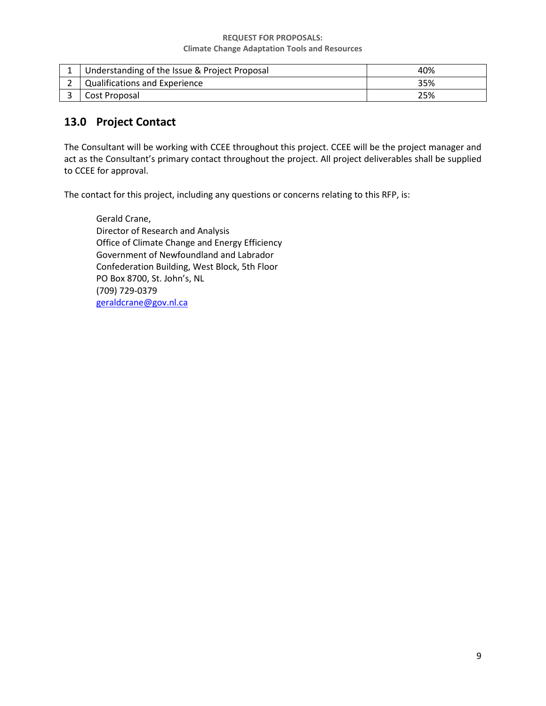| Understanding of the Issue & Project Proposal | 40% |
|-----------------------------------------------|-----|
| Qualifications and Experience                 | 35% |
| Cost Proposal                                 | 25% |

# <span id="page-9-0"></span>**13.0 Project Contact**

The Consultant will be working with CCEE throughout this project. CCEE will be the project manager and act as the Consultant's primary contact throughout the project. All project deliverables shall be supplied to CCEE for approval.

The contact for this project, including any questions or concerns relating to this RFP, is:

Gerald Crane, Director of Research and Analysis Office of Climate Change and Energy Efficiency Government of Newfoundland and Labrador Confederation Building, West Block, 5th Floor PO Box 8700, St. John's, NL (709) 729-0379 [geraldcrane@gov.nl.ca](mailto:geraldcrane@gov.nl.ca)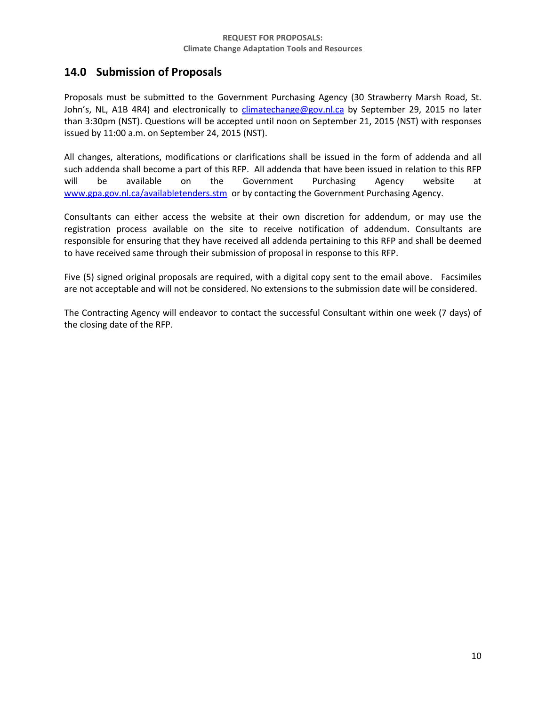# <span id="page-10-0"></span>**14.0 Submission of Proposals**

Proposals must be submitted to the Government Purchasing Agency (30 Strawberry Marsh Road, St. John's, NL, A1B 4R4) and electronically to [climatechange@gov.nl.ca](mailto:climatechange@gov.nl.ca) by September 29, 2015 no later than 3:30pm (NST). Questions will be accepted until noon on September 21, 2015 (NST) with responses issued by 11:00 a.m. on September 24, 2015 (NST).

All changes, alterations, modifications or clarifications shall be issued in the form of addenda and all such addenda shall become a part of this RFP. All addenda that have been issued in relation to this RFP will be available on the Government Purchasing Agency website at [www.gpa.gov.nl.ca/availabletenders.stm](http://www.gpa.gov.nl.ca/availabletenders.stm) or by contacting the Government Purchasing Agency.

Consultants can either access the website at their own discretion for addendum, or may use the registration process available on the site to receive notification of addendum. Consultants are responsible for ensuring that they have received all addenda pertaining to this RFP and shall be deemed to have received same through their submission of proposal in response to this RFP.

Five (5) signed original proposals are required, with a digital copy sent to the email above. Facsimiles are not acceptable and will not be considered. No extensions to the submission date will be considered.

The Contracting Agency will endeavor to contact the successful Consultant within one week (7 days) of the closing date of the RFP.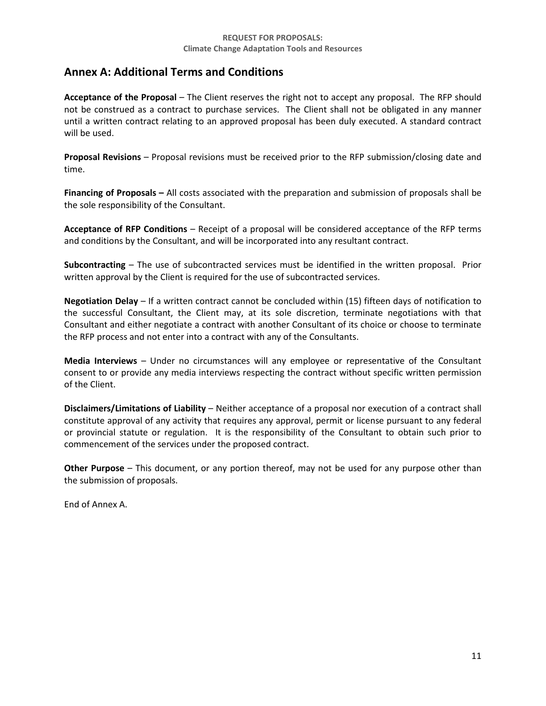### <span id="page-11-0"></span>**Annex A: Additional Terms and Conditions**

**Acceptance of the Proposal** – The Client reserves the right not to accept any proposal. The RFP should not be construed as a contract to purchase services. The Client shall not be obligated in any manner until a written contract relating to an approved proposal has been duly executed. A standard contract will be used.

**Proposal Revisions** – Proposal revisions must be received prior to the RFP submission/closing date and time.

**Financing of Proposals –** All costs associated with the preparation and submission of proposals shall be the sole responsibility of the Consultant.

**Acceptance of RFP Conditions** – Receipt of a proposal will be considered acceptance of the RFP terms and conditions by the Consultant, and will be incorporated into any resultant contract.

**Subcontracting** – The use of subcontracted services must be identified in the written proposal. Prior written approval by the Client is required for the use of subcontracted services.

**Negotiation Delay** – If a written contract cannot be concluded within (15) fifteen days of notification to the successful Consultant, the Client may, at its sole discretion, terminate negotiations with that Consultant and either negotiate a contract with another Consultant of its choice or choose to terminate the RFP process and not enter into a contract with any of the Consultants.

**Media Interviews** – Under no circumstances will any employee or representative of the Consultant consent to or provide any media interviews respecting the contract without specific written permission of the Client.

**Disclaimers/Limitations of Liability** – Neither acceptance of a proposal nor execution of a contract shall constitute approval of any activity that requires any approval, permit or license pursuant to any federal or provincial statute or regulation. It is the responsibility of the Consultant to obtain such prior to commencement of the services under the proposed contract.

**Other Purpose** – This document, or any portion thereof, may not be used for any purpose other than the submission of proposals.

End of Annex A.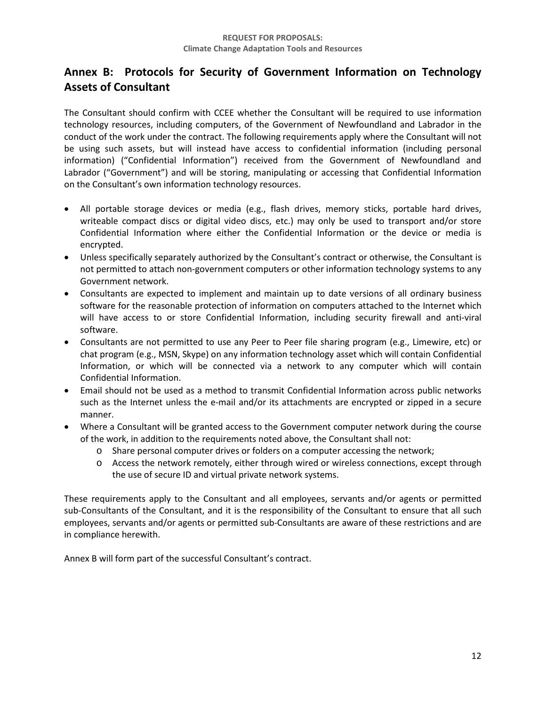# <span id="page-12-0"></span>**Annex B: Protocols for Security of Government Information on Technology Assets of Consultant**

The Consultant should confirm with CCEE whether the Consultant will be required to use information technology resources, including computers, of the Government of Newfoundland and Labrador in the conduct of the work under the contract. The following requirements apply where the Consultant will not be using such assets, but will instead have access to confidential information (including personal information) ("Confidential Information") received from the Government of Newfoundland and Labrador ("Government") and will be storing, manipulating or accessing that Confidential Information on the Consultant's own information technology resources.

- All portable storage devices or media (e.g., flash drives, memory sticks, portable hard drives, writeable compact discs or digital video discs, etc.) may only be used to transport and/or store Confidential Information where either the Confidential Information or the device or media is encrypted.
- Unless specifically separately authorized by the Consultant's contract or otherwise, the Consultant is not permitted to attach non-government computers or other information technology systems to any Government network.
- Consultants are expected to implement and maintain up to date versions of all ordinary business software for the reasonable protection of information on computers attached to the Internet which will have access to or store Confidential Information, including security firewall and anti-viral software.
- Consultants are not permitted to use any Peer to Peer file sharing program (e.g., Limewire, etc) or chat program (e.g., MSN, Skype) on any information technology asset which will contain Confidential Information, or which will be connected via a network to any computer which will contain Confidential Information.
- Email should not be used as a method to transmit Confidential Information across public networks such as the Internet unless the e-mail and/or its attachments are encrypted or zipped in a secure manner.
- Where a Consultant will be granted access to the Government computer network during the course of the work, in addition to the requirements noted above, the Consultant shall not:
	- o Share personal computer drives or folders on a computer accessing the network;
	- o Access the network remotely, either through wired or wireless connections, except through the use of secure ID and virtual private network systems.

These requirements apply to the Consultant and all employees, servants and/or agents or permitted sub-Consultants of the Consultant, and it is the responsibility of the Consultant to ensure that all such employees, servants and/or agents or permitted sub-Consultants are aware of these restrictions and are in compliance herewith.

Annex B will form part of the successful Consultant's contract.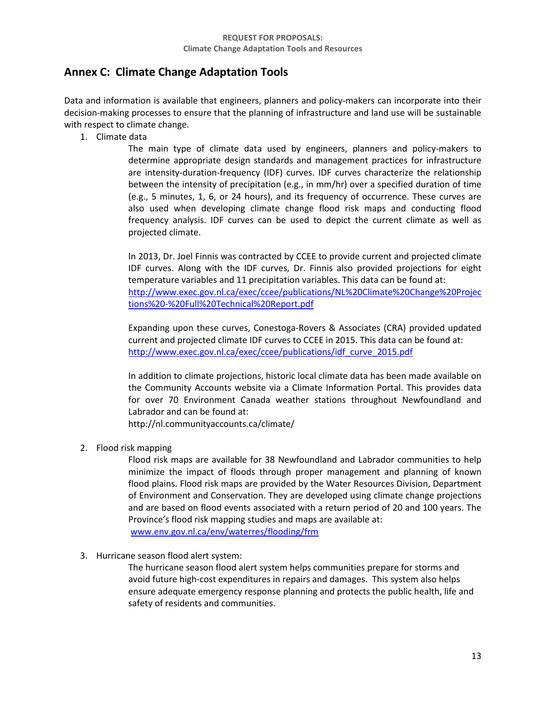# <span id="page-13-0"></span>**Annex C: Climate Change Adaptation Tools**

Data and information is available that engineers, planners and policy-makers can incorporate into their decision-making processes to ensure that the planning of infrastructure and land use will be sustainable with respect to climate change.

1. Climate data

The main type of climate data used by engineers, planners and policy-makers to determine appropriate design standards and management practices for infrastructure are intensity-duration-frequency (IDF) curves. IDF curves characterize the relationship between the intensity of precipitation (e.g., in mm/hr) over a specified duration of time (e.g., 5 minutes, 1, 6, or 24 hours), and its frequency of occurrence. These curves are also used when developing climate change flood risk maps and conducting flood frequency analysis. IDF curves can be used to depict the current climate as well as projected climate.

In 2013, Dr. Joel Finnis was contracted by CCEE to provide current and projected climate IDF curves. Along with the IDF curves, Dr. Finnis also provided projections for eight temperature variables and 11 precipitation variables. This data can be found at: [http://www.exec.gov.nl.ca/exec/ccee/publications/NL%20Climate%20Change%20Projec](http://www.exec.gov.nl.ca/exec/ccee/publications/NL%20Climate%20Change%20Projections%20-%20Full%20Technical%20Report.pdf) [tions%20-%20Full%20Technical%20Report.pdf](http://www.exec.gov.nl.ca/exec/ccee/publications/NL%20Climate%20Change%20Projections%20-%20Full%20Technical%20Report.pdf)

Expanding upon these curves, Conestoga-Rovers & Associates (CRA) provided updated current and projected climate IDF curves to CCEE in 2015. This data can be found at: [http://www.exec.gov.nl.ca/exec/ccee/publications/idf\\_curve\\_2015.pdf](http://www.exec.gov.nl.ca/exec/ccee/publications/idf_curve_2015.pdf)

In addition to climate projections, historic local climate data has been made available on the Community Accounts website via a Climate Information Portal. This provides data for over 70 Environment Canada weather stations throughout Newfoundland and Labrador and can be found at:

http://nl.communityaccounts.ca/climate/

2. Flood risk mapping

Flood risk maps are available for 38 Newfoundland and Labrador communities to help minimize the impact of floods through proper management and planning of known flood plains. Flood risk maps are provided by the Water Resources Division, Department of Environment and Conservation. They are developed using climate change projections and are based on flood events associated with a return period of 20 and 100 years. The Province's flood risk mapping studies and maps are available at: [www.env.gov.nl.ca/env/waterres/flooding/frm](http://www.env.gov.nl.ca/env/waterres/flooding/frm)

3. Hurricane season flood alert system:

The hurricane season flood alert system helps communities prepare for storms and avoid future high-cost expenditures in repairs and damages. This system also helps ensure adequate emergency response planning and protects the public health, life and safety of residents and communities.